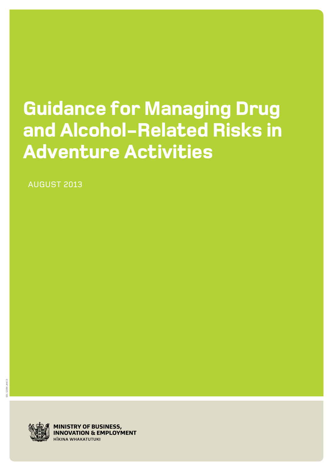# **Guidance for Managing Drug and Alcohol-Related Risks in Adventure Activities**

AUGUST 2013



**MINISTRY OF BUSINESS, INNOVATION & EMPLOYMENT IIKINA WHAKATUTUKI**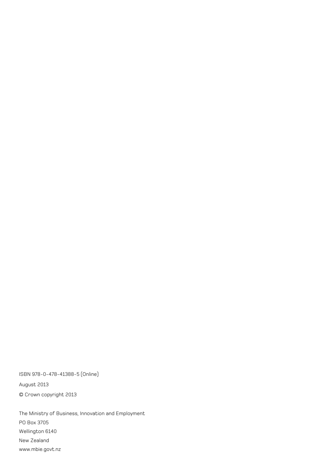ISBN 978-0-478-41388-5 (Online) August 2013 © Crown copyright 2013

The Ministry of Business, Innovation and Employment PO Box 3705 Wellington 6140 New Zealand [www.mbie.govt.nz](http://www.mbie.govt.nz/)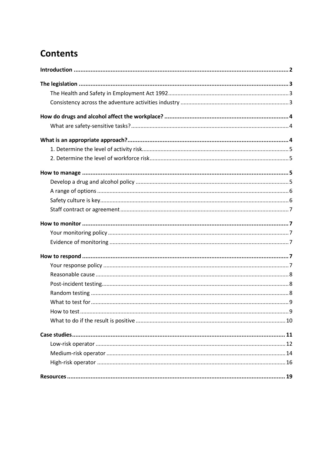## **Contents**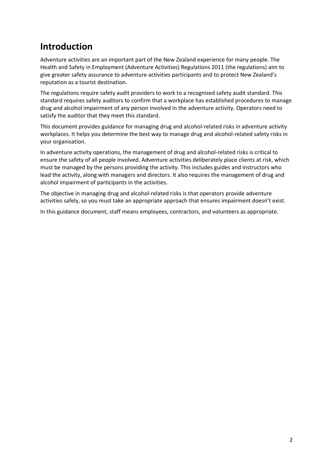### <span id="page-3-0"></span>**Introduction**

Adventure activities are an important part of the New Zealand experience for many people. The Health and Safety in Employment (Adventure Activities) Regulations 2011 (the regulations) aim to give greater safety assurance to adventure activities participants and to protect New Zealand's reputation as a tourist destination.

The regulations require safety audit providers to work to a recognised safety audit standard. This standard requires safety auditors to confirm that a workplace has established procedures to manage drug and alcohol impairment of any person involved in the adventure activity. Operators need to satisfy the auditor that they meet this standard.

This document provides guidance for managing drug and alcohol-related risks in adventure activity workplaces. It helps you determine the best way to manage drug and alcohol-related safety risks in your organisation.

In adventure activity operations, the management of drug and alcohol-related risks is critical to ensure the safety of all people involved. Adventure activities deliberately place clients at risk, which must be managed by the persons providing the activity. This includes guides and instructors who lead the activity, along with managers and directors. It also requires the management of drug and alcohol impairment of participants in the activities.

The objective in managing drug and alcohol-related risks is that operators provide adventure activities safely, so you must take an appropriate approach that ensures impairment doesn't exist.

In this guidance document, staff means employees, contractors, and volunteers as appropriate.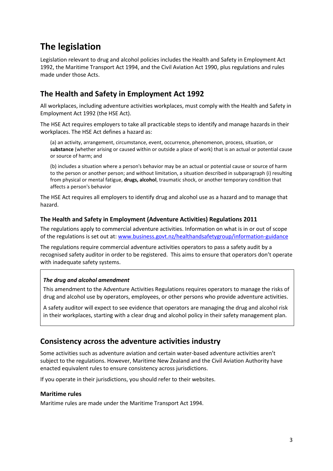### <span id="page-4-0"></span>**The legislation**

Legislation relevant to drug and alcohol policies includes the Health and Safety in Employment Act 1992, the Maritime Transport Act 1994, and the Civil Aviation Act 1990, plus regulations and rules made under those Acts.

#### <span id="page-4-1"></span>**The Health and Safety in Employment Act 1992**

All workplaces, including adventure activities workplaces, must comply with the Health and Safety in Employment Act 1992 (the HSE Act).

The HSE Act requires employers to take all practicable steps to identify and manage hazards in their workplaces. The HSE Act defines a hazard as:

(a) an activity, arrangement, circumstance, event, occurrence, phenomenon, process, situation, or **substance** (whether arising or caused within or outside a place of work) that is an actual or potential cause or source of harm; and

(b) includes a situation where a person's behavior may be an actual or potential cause or source of harm to the person or another person; and without limitation, a situation described in subparagraph (i) resulting from physical or mental fatigue, **drugs, alcohol**, traumatic shock, or another temporary condition that affects a person's behavior

The HSE Act requires all employers to identify drug and alcohol use as a hazard and to manage that hazard.

#### **The Health and Safety in Employment (Adventure Activities) Regulations 2011**

The regulations apply to commercial adventure activities. Information on what is in or out of scope of the regulations is set out at: [www.business.govt.nz/healthandsafetygroup/information-guidance](http://www.business.govt.nz/healthandsafetygroup/information-guidance/all-guidance-items/adventure-activities-regulations-guidance-for-operators/guidance-for-operators.pdf)

The regulations require commercial adventure activities operators to pass a safety audit by a recognised safety auditor in order to be registered. This aims to ensure that operators don't operate with inadequate safety systems.

#### *The drug and alcohol amendment*

This amendment to the Adventure Activities Regulations requires operators to manage the risks of drug and alcohol use by operators, employees, or other persons who provide adventure activities.

A safety auditor will expect to see evidence that operators are managing the drug and alcohol risk in their workplaces, starting with a clear drug and alcohol policy in their safety management plan.

#### <span id="page-4-2"></span>**Consistency across the adventure activities industry**

Some activities such as adventure aviation and certain water-based adventure activities aren't subject to the regulations. However, Maritime New Zealand and the Civil Aviation Authority have enacted equivalent rules to ensure consistency across jurisdictions.

If you operate in their jurisdictions, you should refer to their websites.

#### **Maritime rules**

Maritime rules are made under the Maritime Transport Act 1994.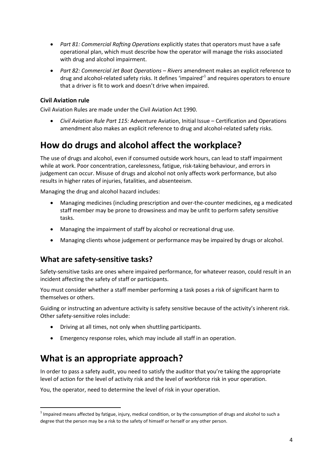- *Part 81: Commercial Rafting Operations* explicitly states that operators must have a safe operational plan, which must describe how the operator will manage the risks associated with drug and alcohol impairment.
- *Part 82: Commercial Jet Boat Operations – Rivers* amendment makes an explicit reference to drug and alcohol-related safety risks. It defines 'impaired'<sup>1</sup> and requires operators to ensure that a driver is fit to work and doesn't drive when impaired.

#### **Civil Aviation rule**

Civil Aviation Rules are made under the Civil Aviation Act 1990.

 *Civil Aviation Rule Part 115:* Adventure Aviation, Initial Issue – Certification and Operations amendment also makes an explicit reference to drug and alcohol-related safety risks.

### <span id="page-5-0"></span>**How do drugs and alcohol affect the workplace?**

The use of drugs and alcohol, even if consumed outside work hours, can lead to staff impairment while at work. Poor concentration, carelessness, fatigue, risk-taking behaviour, and errors in judgement can occur. Misuse of drugs and alcohol not only affects work performance, but also results in higher rates of injuries, fatalities, and absenteeism.

Managing the drug and alcohol hazard includes:

- Managing medicines (including prescription and over-the-counter medicines, eg a medicated staff member may be prone to drowsiness and may be unfit to perform safety sensitive tasks.
- Managing the impairment of staff by alcohol or recreational drug use.
- Managing clients whose judgement or performance may be impaired by drugs or alcohol.

#### <span id="page-5-1"></span>**What are safety-sensitive tasks?**

Safety-sensitive tasks are ones where impaired performance, for whatever reason, could result in an incident affecting the safety of staff or participants.

You must consider whether a staff member performing a task poses a risk of significant harm to themselves or others.

Guiding or instructing an adventure activity is safety sensitive because of the activity's inherent risk. Other safety-sensitive roles include:

- Driving at all times, not only when shuttling participants.
- Emergency response roles, which may include all staff in an operation.

### <span id="page-5-2"></span>**What is an appropriate approach?**

1

In order to pass a safety audit, you need to satisfy the auditor that you're taking the appropriate level of action for the level of activity risk and the level of workforce risk in your operation.

You, the operator, need to determine the level of risk in your operation.

 $^1$  Impaired means affected by fatigue, injury, medical condition, or by the consumption of drugs and alcohol to such a degree that the person may be a risk to the safety of himself or herself or any other person.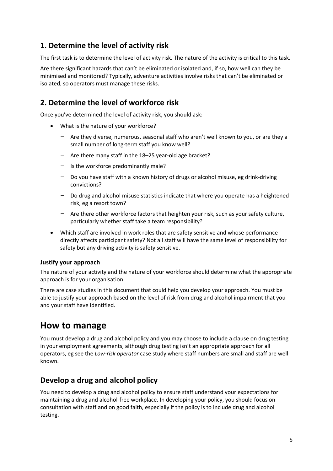#### <span id="page-6-0"></span>**1. Determine the level of activity risk**

The first task is to determine the level of activity risk. The nature of the activity is critical to this task.

Are there significant hazards that can't be eliminated or isolated and, if so, how well can they be minimised and monitored? Typically, adventure activities involve risks that can't be eliminated or isolated, so operators must manage these risks.

### <span id="page-6-1"></span>**2. Determine the level of workforce risk**

Once you've determined the level of activity risk, you should ask:

- What is the nature of your workforce?
	- − Are they diverse, numerous, seasonal staff who aren't well known to you, or are they a small number of long-term staff you know well?
	- − Are there many staff in the 18–25 year-old age bracket?
	- − Is the workforce predominantly male?
	- − Do you have staff with a known history of drugs or alcohol misuse, eg drink-driving convictions?
	- Do drug and alcohol misuse statistics indicate that where you operate has a heightened risk, eg a resort town?
	- Are there other workforce factors that heighten your risk, such as your safety culture, particularly whether staff take a team responsibility?
- Which staff are involved in work roles that are safety sensitive and whose performance directly affects participant safety? Not all staff will have the same level of responsibility for safety but any driving activity is safety sensitive.

#### **Justify your approach**

The nature of your activity and the nature of your workforce should determine what the appropriate approach is for your organisation.

There are case studies in this document that could help you develop your approach. You must be able to justify your approach based on the level of risk from drug and alcohol impairment that you and your staff have identified.

### <span id="page-6-2"></span>**How to manage**

You must develop a drug and alcohol policy and you may choose to include a clause on drug testing in your employment agreements, although drug testing isn't an appropriate approach for all operators, eg see the *Low-risk operator* case study where staff numbers are small and staff are well known.

#### <span id="page-6-3"></span>**Develop a drug and alcohol policy**

You need to develop [a drug and alcohol policy](http://www.dol.govt.nz/infozone/businessessentials/safety/hazards/sample-policy-drugs-alcohol.asp) to ensure staff understand your expectations for maintaining a drug and alcohol-free workplace. In developing your policy, you should focus on consultation with staff and on good faith, especially if the policy is to include drug and alcohol testing.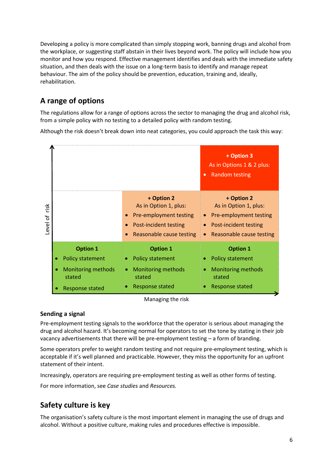Developing a policy is more complicated than simply stopping work, banning drugs and alcohol from the workplace, or suggesting staff abstain in their lives beyond work. The policy will include how you monitor and how you respond. Effective management identifies and deals with the immediate safety situation, and then deals with the issue on a long-term basis to identify and manage repeat behaviour. The aim of the policy should be prevention, education, training and, ideally, rehabilitation.

### <span id="page-7-0"></span>**A range of options**

The regulations allow for a range of options across the sector to managing the drug and alcohol risk, from a simple policy with no testing to a detailed policy with random testing.

Although the risk doesn't break down into neat categories, you could approach the task this way:



Managing the risk

#### **Sending a signal**

Pre-employment testing signals to the workforce that the operator is serious about managing the drug and alcohol hazard. It's becoming normal for operators to set the tone by stating in their job vacancy advertisements that there will be pre-employment testing – a form of branding.

Some operators prefer to weight random testing and not require pre-employment testing, which is acceptable if it's well planned and practicable. However, they miss the opportunity for an upfront statement of their intent.

Increasingly, operators are requiring pre-employment testing as well as other forms of testing.

For more information, see *Case studies* and *Resources.*

### <span id="page-7-1"></span>**Safety culture is key**

The organisation's safety culture is the most important element in managing the use of drugs and alcohol. Without a positive culture, making rules and procedures effective is impossible.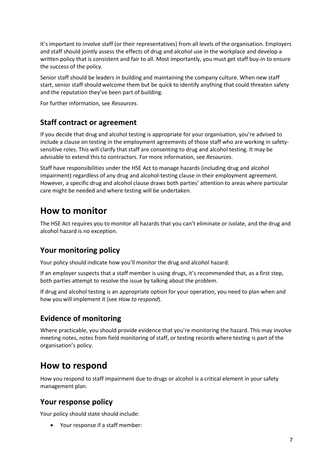It's important to involve staff (or their representatives) from all levels of the organisation. Employers and staff should jointly assess the effects of drug and alcohol use in the workplace and develop a written policy that is consistent and fair to all. Most importantly, you must get staff buy-in to ensure the success of the policy.

Senior staff should be leaders in building and maintaining the company culture. When new staff start, senior staff should welcome them but be quick to identify anything that could threaten safety and the reputation they've been part of building.

For further information, see *Resources*.

#### <span id="page-8-0"></span>**Staff contract or agreement**

If you decide that drug and alcohol testing is appropriate for your organisation, you're advised to include a clause [on testing](http://dol.govt.nz/Tools/EmploymentAgreementBuilder/Guide/default.aspx?sID=10&ssID=71) in the employment agreements of those staff who are working in safetysensitive roles. This will clarify that staff are consenting to drug and alcohol testing. It may be advisable to extend this to contractors. For more information, see *Resources*.

Staff have responsibilities under the HSE Act to manage hazards (including drug and alcohol impairment) regardless of any drug and alcohol-testing clause in their employment agreement. However, a specific drug and alcohol clause draws both parties' attention to areas where particular care might be needed and where testing will be undertaken.

### <span id="page-8-1"></span>**How to monitor**

The HSE Act requires you to monitor all hazards that you can't eliminate or isolate, and the drug and alcohol hazard is no exception.

#### <span id="page-8-2"></span>**Your monitoring policy**

Your policy should indicate how you'll monitor the drug and alcohol hazard.

If an employer suspects that a staff member is using drugs, it's recommended that, as a first step, both parties attempt to resolve the issue by talking about the problem.

If drug and alcohol testing is an appropriate option for your operation, you need to plan when and how you will implement it (see *How to respond*).

### <span id="page-8-3"></span>**Evidence of monitoring**

Where practicable, you should provide evidence that you're monitoring the hazard. This may involve meeting notes, notes from field monitoring of staff, or testing records where testing is part of the organisation's policy.

### <span id="page-8-4"></span>**How to respond**

How you respond to staff impairment due to drugs or alcohol is a critical element in your safety management plan.

#### <span id="page-8-5"></span>**Your response policy**

Your policy should state should include:

Your response if a staff member: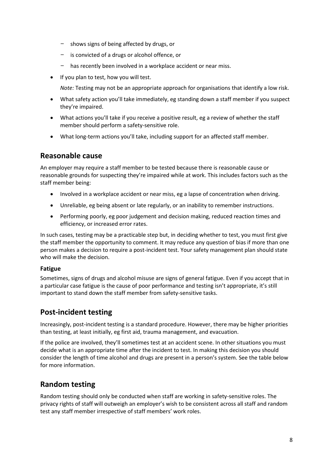- − shows signs of being affected by drugs, or
- − is convicted of a drugs or alcohol offence, or
- has recently been involved in a workplace accident or near miss.
- If you plan to test, how you will test.

*Note:* Testing may not be an appropriate approach for organisations that identify a low risk.

- What safety action you'll take immediately, eg standing down a staff member if you suspect they're impaired.
- What actions you'll take if you receive a positive result, eg a review of whether the staff member should perform a safety-sensitive role.
- What long-term actions you'll take, including support for an affected staff member.

#### <span id="page-9-0"></span>**Reasonable cause**

An employer may require a staff member to be tested because there is reasonable cause or reasonable grounds for suspecting they're impaired while at work. This includes factors such as the staff member being:

- Involved in a workplace accident or near miss, eg a lapse of concentration when driving.
- Unreliable, eg being absent or late regularly, or an inability to remember instructions.
- Performing poorly, eg poor judgement and decision making, reduced reaction times and efficiency, or increased error rates.

In such cases, testing may be a practicable step but, in deciding whether to test, you must first give the staff member the opportunity to comment. It may reduce any question of bias if more than one person makes a decision to require a post-incident test. Your safety management plan should state who will make the decision.

#### **Fatigue**

Sometimes, signs of drugs and alcohol misuse are signs of general fatigue. Even if you accept that in a particular case fatigue is the cause of poor performance and testing isn't appropriate, it's still important to stand down the staff member from safety-sensitive tasks.

#### <span id="page-9-1"></span>**Post-incident testing**

Increasingly, post-incident testing is a standard procedure. However, there may be higher priorities than testing, at least initially, eg first aid, trauma management, and evacuation.

If the police are involved, they'll sometimes test at an accident scene. In other situations you must decide what is an appropriate time after the incident to test. In making this decision you should consider the length of time alcohol and drugs are present in a person's system. See the table below for more information.

#### <span id="page-9-2"></span>**Random testing**

Random testing should only be conducted when staff are working in safety-sensitive roles. The privacy rights of staff will outweigh an employer's wish to be consistent across all staff and random test any staff member irrespective of staff members' work roles.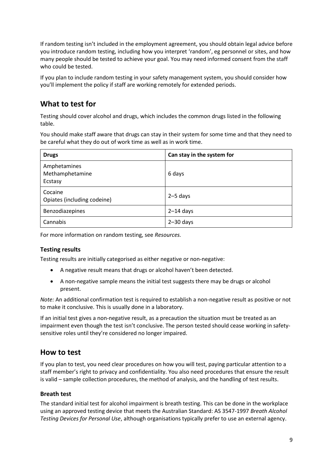If random testing isn't included in the employment agreement, you should obtain legal advice before you introduce random testing, including how you interpret 'random', eg personnel or sites, and how many people should be tested to achieve your goal. You may need informed consent from the staff who could be tested.

If you plan to include random testing in your safety management system, you should consider how you'll implement the policy if staff are working remotely for extended periods.

### <span id="page-10-0"></span>**What to test for**

Testing should cover alcohol and drugs, which includes the common drugs listed in the following table.

You should make staff aware that drugs can stay in their system for some time and that they need to be careful what they do out of work time as well as in work time.

| <b>Drugs</b>                               | Can stay in the system for |
|--------------------------------------------|----------------------------|
| Amphetamines<br>Methamphetamine<br>Ecstasy | 6 days                     |
| Cocaine<br>Opiates (including codeine)     | $2-5$ days                 |
| Benzodiazepines                            | $2-14$ days                |
| Cannabis                                   | $2 - 30$ days              |

For more information on random testing, see *Resources.*

#### **Testing results**

Testing results are initially categorised as either negative or non-negative:

- A negative result means that drugs or alcohol haven't been detected.
- A non-negative sample means the initial test suggests there may be drugs or alcohol present.

*Note:* An additional confirmation test is required to establish a non-negative result as positive or not to make it conclusive. This is usually done in a laboratory.

If an initial test gives a non-negative result, as a precaution the situation must be treated as an impairment even though the test isn't conclusive. The person tested should cease working in safetysensitive roles until they're considered no longer impaired.

#### <span id="page-10-1"></span>**How to test**

If you plan to test, you need clear procedures on how you will test, paying particular attention to a staff member's right to privacy and confidentiality. You also need procedures that ensure the result is valid – sample collection procedures, the method of analysis, and the handling of test results.

#### **Breath test**

The standard initial test for alcohol impairment is breath testing. This can be done in the workplace using an approved testing device that meets the Australian Standard: AS 3547-1997 *Breath Alcohol Testing Devices for Personal Use*, although organisations typically prefer to use an external agency.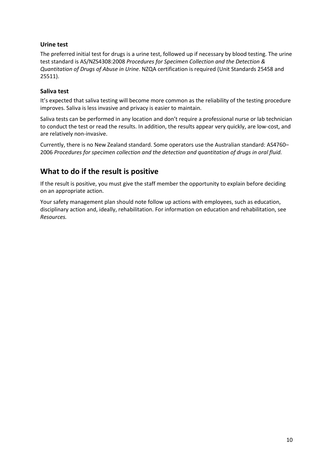#### **Urine test**

The preferred initial test for drugs is a urine test, followed up if necessary by blood testing. The urine test standard is AS/NZS4308:2008 *Procedures for Specimen Collection and the Detection & Quantitation of Drugs of Abuse in Urine*. NZQA certification is required (Unit Standards 25458 and 25511).

#### **Saliva test**

It's expected that saliva testing will become more common as the reliability of the testing procedure improves. Saliva is less invasive and privacy is easier to maintain.

Saliva tests can be performed in any location and don't require a professional nurse or lab technician to conduct the test or read the results. In addition, the results appear very quickly, are low-cost, and are relatively non-invasive.

Currently, there is no New Zealand standard. Some operators use the Australian standard: AS4760– 2006 *Procedures for specimen collection and the detection and quantitation of drugs in oral fluid.*

#### <span id="page-11-0"></span>**What to do if the result is positive**

If the result is positive, you must give the staff member the opportunity to explain before deciding on an appropriate action.

Your safety management plan should note follow up actions with employees, such as education, disciplinary action and, ideally, rehabilitation. For information on education and rehabilitation, see *Resources.*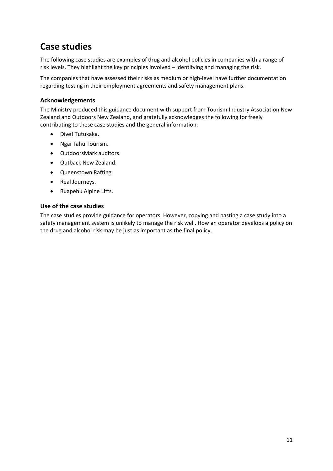### <span id="page-12-0"></span>**Case studies**

The following case studies are examples of drug and alcohol policies in companies with a range of risk levels. They highlight the key principles involved – identifying and managing the risk.

The companies that have assessed their risks as medium or high-level have further documentation regarding testing in their employment agreements and safety management plans.

#### **Acknowledgements**

The Ministry produced this guidance document with support from Tourism Industry Association New Zealand and Outdoors New Zealand, and gratefully acknowledges the following for freely contributing to these case studies and the general information:

- Dive! Tutukaka.
- Ngāi Tahu Tourism.
- OutdoorsMark auditors.
- Outback New Zealand.
- Queenstown Rafting.
- Real Journeys.
- Ruapehu Alpine Lifts.

#### **Use of the case studies**

The case studies provide guidance for operators. However, copying and pasting a case study into a safety management system is unlikely to manage the risk well. How an operator develops a policy on the drug and alcohol risk may be just as important as the final policy.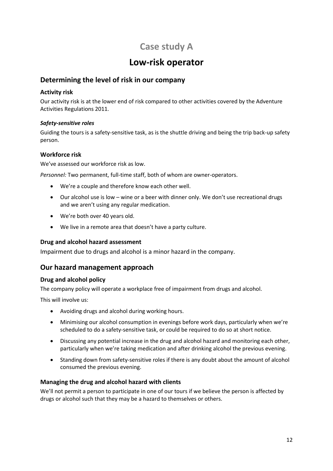### **Case study A**

### **Low-risk operator**

#### <span id="page-13-0"></span>**Determining the level of risk in our company**

#### **Activity risk**

Our activity risk is at the lower end of risk compared to other activities covered by the Adventure Activities Regulations 2011.

#### *Safety-sensitive roles*

Guiding the tours is a safety-sensitive task, as is the shuttle driving and being the trip back-up safety person.

#### **Workforce risk**

We've assessed our workforce risk as low.

*Personnel:* Two permanent, full-time staff, both of whom are owner-operators.

- We're a couple and therefore know each other well.
- Our alcohol use is low wine or a beer with dinner only. We don't use recreational drugs and we aren't using any regular medication.
- We're both over 40 years old.
- We live in a remote area that doesn't have a party culture.

#### **Drug and alcohol hazard assessment**

Impairment due to drugs and alcohol is a minor hazard in the company.

#### **Our hazard management approach**

#### **Drug and alcohol policy**

The company policy will operate a workplace free of impairment from drugs and alcohol.

This will involve us:

- Avoiding drugs and alcohol during working hours.
- Minimising our alcohol consumption in evenings before work days, particularly when we're scheduled to do a safety-sensitive task, or could be required to do so at short notice.
- Discussing any potential increase in the drug and alcohol hazard and monitoring each other, particularly when we're taking medication and after drinking alcohol the previous evening.
- Standing down from safety-sensitive roles if there is any doubt about the amount of alcohol consumed the previous evening.

#### **Managing the drug and alcohol hazard with clients**

We'll not permit a person to participate in one of our tours if we believe the person is affected by drugs or alcohol such that they may be a hazard to themselves or others.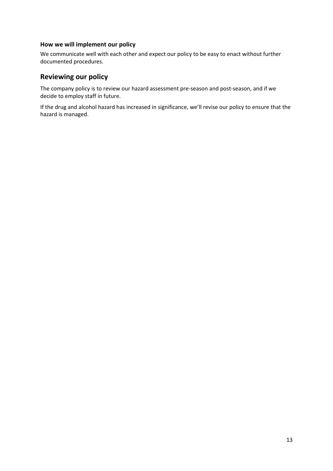#### **How we will implement our policy**

We communicate well with each other and expect our policy to be easy to enact without further documented procedures.

#### **Reviewing our policy**

The company policy is to review our hazard assessment pre-season and post-season, and if we decide to employ staff in future.

If the drug and alcohol hazard has increased in significance, we'll revise our policy to ensure that the hazard is managed.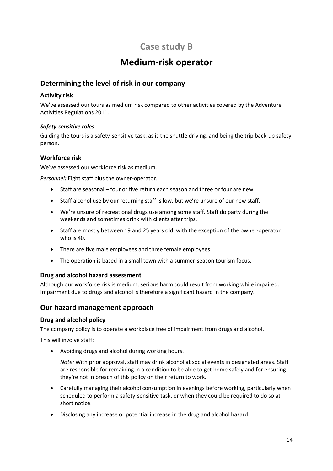### **Case study B**

### **Medium-risk operator**

#### <span id="page-15-0"></span>**Determining the level of risk in our company**

#### **Activity risk**

We've assessed our tours as medium risk compared to other activities covered by the Adventure Activities Regulations 2011.

#### *Safety-sensitive roles*

Guiding the tours is a safety-sensitive task, as is the shuttle driving, and being the trip back-up safety person.

#### **Workforce risk**

We've assessed our workforce risk as medium.

*Personnel:* Eight staff plus the owner-operator.

- Staff are seasonal four or five return each season and three or four are new.
- Staff alcohol use by our returning staff is low, but we're unsure of our new staff.
- We're unsure of recreational drugs use among some staff. Staff do party during the weekends and sometimes drink with clients after trips.
- Staff are mostly between 19 and 25 years old, with the exception of the owner-operator who is 40.
- There are five male employees and three female employees.
- The operation is based in a small town with a summer-season tourism focus.

#### **Drug and alcohol hazard assessment**

Although our workforce risk is medium, serious harm could result from working while impaired. Impairment due to drugs and alcohol is therefore a significant hazard in the company.

#### **Our hazard management approach**

#### **Drug and alcohol policy**

The company policy is to operate a workplace free of impairment from drugs and alcohol.

This will involve staff:

Avoiding drugs and alcohol during working hours.

*Note:* With prior approval, staff may drink alcohol at social events in designated areas. Staff are responsible for remaining in a condition to be able to get home safely and for ensuring they're not in breach of this policy on their return to work.

- Carefully managing their alcohol consumption in evenings before working, particularly when scheduled to perform a safety-sensitive task, or when they could be required to do so at short notice.
- Disclosing any increase or potential increase in the drug and alcohol hazard.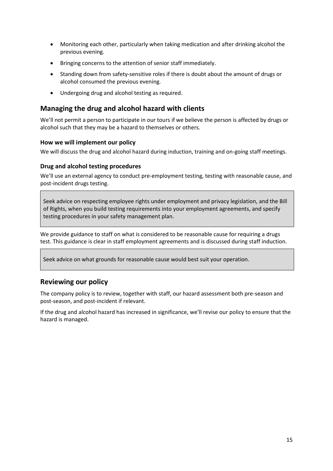- Monitoring each other, particularly when taking medication and after drinking alcohol the previous evening.
- Bringing concerns to the attention of senior staff immediately.
- Standing down from safety-sensitive roles if there is doubt about the amount of drugs or alcohol consumed the previous evening.
- Undergoing drug and alcohol testing as required.

#### **Managing the drug and alcohol hazard with clients**

We'll not permit a person to participate in our tours if we believe the person is affected by drugs or alcohol such that they may be a hazard to themselves or others.

#### **How we will implement our policy**

We will discuss the drug and alcohol hazard during induction, training and on-going staff meetings.

#### **Drug and alcohol testing procedures**

We'll use an external agency to conduct pre-employment testing, testing with reasonable cause, and post-incident drugs testing.

Seek advice on respecting employee rights under employment and privacy legislation, and the Bill of Rights, when you build testing requirements into your employment agreements, and specify testing procedures in your safety management plan.

We provide guidance to staff on what is considered to be reasonable cause for requiring a drugs test. This guidance is clear in staff employment agreements and is discussed during staff induction.

Seek advice on what grounds for reasonable cause would best suit your operation.

#### **Reviewing our policy**

The company policy is to review, together with staff, our hazard assessment both pre-season and post-season, and post-incident if relevant.

If the drug and alcohol hazard has increased in significance, we'll revise our policy to ensure that the hazard is managed.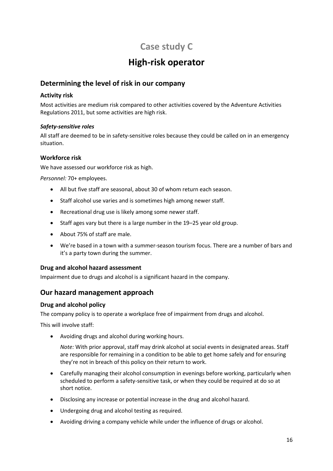### **Case study C**

### **High-risk operator**

#### <span id="page-17-0"></span>**Determining the level of risk in our company**

#### **Activity risk**

Most activities are medium risk compared to other activities covered by the Adventure Activities Regulations 2011, but some activities are high risk.

#### *Safety-sensitive roles*

All staff are deemed to be in safety-sensitive roles because they could be called on in an emergency situation.

#### **Workforce risk**

We have assessed our workforce risk as high.

*Personnel:* 70+ employees.

- All but five staff are seasonal, about 30 of whom return each season.
- Staff alcohol use varies and is sometimes high among newer staff.
- Recreational drug use is likely among some newer staff.
- Staff ages vary but there is a large number in the 19-25 year old group.
- About 75% of staff are male.
- We're based in a town with a summer-season tourism focus. There are a number of bars and it's a party town during the summer.

#### **Drug and alcohol hazard assessment**

Impairment due to drugs and alcohol is a significant hazard in the company.

#### **Our hazard management approach**

#### **Drug and alcohol policy**

The company policy is to operate a workplace free of impairment from drugs and alcohol.

This will involve staff:

Avoiding drugs and alcohol during working hours.

*Note:* With prior approval, staff may drink alcohol at social events in designated areas. Staff are responsible for remaining in a condition to be able to get home safely and for ensuring they're not in breach of this policy on their return to work.

- Carefully managing their alcohol consumption in evenings before working, particularly when scheduled to perform a safety-sensitive task, or when they could be required at do so at short notice.
- Disclosing any increase or potential increase in the drug and alcohol hazard.
- Undergoing drug and alcohol testing as required.
- Avoiding driving a company vehicle while under the influence of drugs or alcohol.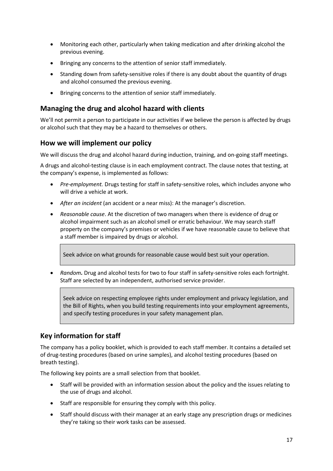- Monitoring each other, particularly when taking medication and after drinking alcohol the previous evening.
- Bringing any concerns to the attention of senior staff immediately.
- Standing down from safety-sensitive roles if there is any doubt about the quantity of drugs and alcohol consumed the previous evening.
- Bringing concerns to the attention of senior staff immediately.

#### **Managing the drug and alcohol hazard with clients**

We'll not permit a person to participate in our activities if we believe the person is affected by drugs or alcohol such that they may be a hazard to themselves or others.

#### **How we will implement our policy**

We will discuss the drug and alcohol hazard during induction, training, and on-going staff meetings.

A drugs and alcohol-testing clause is in each employment contract. The clause notes that testing, at the company's expense, is implemented as follows:

- *Pre-employment.* Drugs testing for staff in safety-sensitive roles, which includes anyone who will drive a vehicle at work.
- *After an incident* (an accident or a near miss): At the manager's discretion.
- *Reasonable cause*. At the discretion of two managers when there is evidence of drug or alcohol impairment such as an alcohol smell or erratic behaviour. We may search staff property on the company's premises or vehicles if we have reasonable cause to believe that a staff member is impaired by drugs or alcohol.

Seek advice on what grounds for reasonable cause would best suit your operation.

 *Random.* Drug and alcohol tests for two to four staff in safety-sensitive roles each fortnight. Staff are selected by an independent, authorised service provider.

Seek advice on respecting employee rights under employment and privacy legislation, and the Bill of Rights, when you build testing requirements into your employment agreements, and specify testing procedures in your safety management plan.

#### **Key information for staff**

The company has a policy booklet, which is provided to each staff member. It contains a detailed set of drug-testing procedures (based on urine samples), and alcohol testing procedures (based on breath testing).

The following key points are a small selection from that booklet.

- Staff will be provided with an information session about the policy and the issues relating to the use of drugs and alcohol.
- Staff are responsible for ensuring they comply with this policy.
- Staff should discuss with their manager at an early stage any prescription drugs or medicines they're taking so their work tasks can be assessed.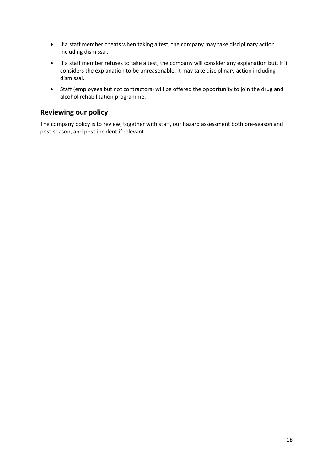- If a staff member cheats when taking a test, the company may take disciplinary action including dismissal.
- If a staff member refuses to take a test, the company will consider any explanation but, if it considers the explanation to be unreasonable, it may take disciplinary action including dismissal.
- Staff (employees but not contractors) will be offered the opportunity to join the drug and alcohol rehabilitation programme.

#### **Reviewing our policy**

The company policy is to review, together with staff, our hazard assessment both pre-season and post-season, and post-incident if relevant.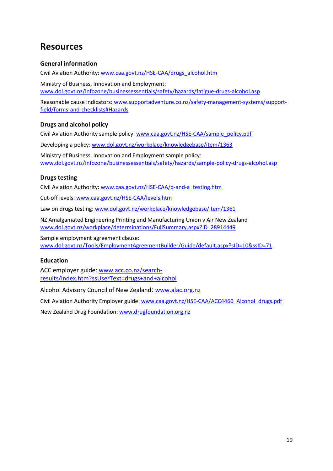### <span id="page-20-0"></span>**Resources**

#### **General information**

Civil Aviation Authority: [www.caa.govt.nz/HSE-CAA/drugs\\_alcohol.htm](http://www.caa.govt.nz/HSE-CAA/drugs_alcohol.htm)

Ministry of Business, Innovation and Employment: [www.dol.govt.nz/infozone/businessessentials/safety/hazards/fatigue-drugs-alcohol.asp](http://www.dol.govt.nz/infozone/businessessentials/safety/hazards/fatigue-drugs-alcohol.asp)

Reasonable cause indicators: [www.supportadventure.co.nz/safety-management-systems/support](http://www.supportadventure.co.nz/safety-management-systems/support-field/forms-and-checklists#Hazards)[field/forms-and-checklists#Hazards](http://www.supportadventure.co.nz/safety-management-systems/support-field/forms-and-checklists#Hazards)

#### **Drugs and alcohol policy**

Civil Aviation Authority sample policy[: www.caa.govt.nz/HSE-CAA/sample\\_policy.pdf](http://www.caa.govt.nz/HSE-CAA/sample_policy.pdf)

Developing a policy: [www.dol.govt.nz/workplace/knowledgebase/item/1363](http://www.dol.govt.nz/workplace/knowledgebase/item/1363)

Ministry of Business, Innovation and Employment sample policy: [www.dol.govt.nz/infozone/businessessentials/safety/hazards/sample-policy-drugs-alcohol.asp](http://www.dol.govt.nz/infozone/businessessentials/safety/hazards/sample-policy-drugs-alcohol.asp)

#### **Drugs testing**

Civil Aviation Authority: [www.caa.govt.nz/HSE-CAA/d-and-a\\_testing.htm](http://www.caa.govt.nz/HSE-CAA/d-and-a_testing.htm)

Cut-off levels: [www.caa.govt.nz/HSE-CAA/levels.htm](http://www.caa.govt.nz/HSE-CAA/levels.htm)

Law on drugs testing[: www.dol.govt.nz/workplace/knowledgebase/item/1361](http://www.dol.govt.nz/workplace/knowledgebase/item/1361)

NZ Amalgamated Engineering Printing and Manufacturing Union v Air New Zealand [www.dol.govt.nz/workplace/determinations/FullSummary.aspx?ID=28914449](http://www.dol.govt.nz/workplace/determinations/FullSummary.aspx?ID=28914449)

Sample employment agreement clause: [www.dol.govt.nz/Tools/EmploymentAgreementBuilder/Guide/default.aspx?sID=10&ssID=71](http://www.dol.govt.nz/Tools/EmploymentAgreementBuilder/Guide/default.aspx?sID=10&ssID=71)

#### **Education**

ACC employer guide: [www.acc.co.nz/search](http://www.acc.co.nz/search-results/index.htm?ssUserText=drugs+and+alcohol)[results/index.htm?ssUserText=drugs+and+alcohol](http://www.acc.co.nz/search-results/index.htm?ssUserText=drugs+and+alcohol)

Alcohol Advisory Council of New Zealand: [www.alac.org.nz](http://www.alac.org.nz/)

Civil Aviation Authority Employer guide[: www.caa.govt.nz/HSE-CAA/ACC4460\\_Alcohol\\_drugs.pdf](http://www.caa.govt.nz/HSE-CAA/ACC4460_Alcohol_drugs.pdf)

New Zealand Drug Foundation: [www.drugfoundation.org.nz](http://www.drugfoundation.org.nz/)